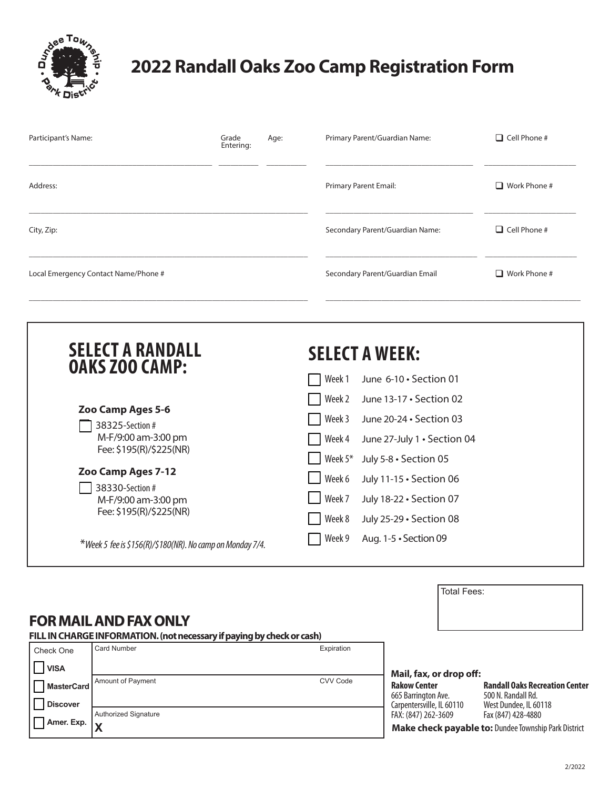

## **2022 Randall Oaks Zoo Camp Registration Form**

| Participant's Name:                                                                                         | Grade<br>Entering: | Age: | $\Box$ Cell Phone #<br>Primary Parent/Guardian Name:                                                                                |
|-------------------------------------------------------------------------------------------------------------|--------------------|------|-------------------------------------------------------------------------------------------------------------------------------------|
| Address:                                                                                                    |                    |      | <b>Primary Parent Email:</b><br>$\Box$ Work Phone #                                                                                 |
| City, Zip:                                                                                                  |                    |      | $\Box$ Cell Phone #<br>Secondary Parent/Guardian Name:                                                                              |
| Local Emergency Contact Name/Phone #                                                                        |                    |      | Secondary Parent/Guardian Email<br>$\Box$ Work Phone #                                                                              |
| <b>SELECT A RANDALL</b><br><b>OAKS ZOO CAMP:</b><br>Zoo Camp Ages 5-6<br>38325-Section #                    |                    |      | <b>SELECT A WEEK:</b><br>Week 1<br>June 6-10 · Section 01<br>Week 2<br>June 13-17 · Section 02<br>Week 3<br>June 20-24 · Section 03 |
| M-F/9:00 am-3:00 pm<br>Fee: \$195(R)/\$225(NR)<br>Zoo Camp Ages 7-12<br>38330-Section #                     |                    |      | Week 4<br>June 27-July 1 . Section 04<br>Week 5*<br>July 5-8 · Section 05<br>Week 6<br>July 11-15 · Section 06                      |
| M-F/9:00 am-3:00 pm<br>Fee: \$195(R)/\$225(NR)<br>*Week 5 fee is \$156(R)/\$180(NR). No camp on Monday 7/4. |                    |      | Week 7<br>July 18-22 · Section 07<br>Week 8<br>July 25-29 · Section 08<br>Week 9<br>Aug. 1-5 · Section 09                           |

## **FOR MAIL AND FAX ONLY**

**FILL IN CHARGE INFORMATION. (not necessary if paying by check or cash)**

| Check One                       | Card Number          | Expiration |                                                             |                                                             |
|---------------------------------|----------------------|------------|-------------------------------------------------------------|-------------------------------------------------------------|
| <b>VISA</b>                     |                      |            | Mail, fax, or drop off:                                     |                                                             |
| MasterCard                      | Amount of Pavment    | CVV Code   | <b>Rakow Center</b><br>665 Barrington Ave.                  | <b>Randall Oaks Recreation Center</b><br>500 N. Randall Rd. |
| <b>Discover</b>                 |                      |            | Carpentersville. IL 60110                                   | West Dundee, IL 60118                                       |
|                                 | Authorized Signature |            | FAX: (847) 262-3609                                         | Fax (847) 428-4880                                          |
| Amer. Exp. $\vert_{\mathbf{v}}$ |                      |            | <b>Make check payable to: Dundee Township Park District</b> |                                                             |

Total Fees: